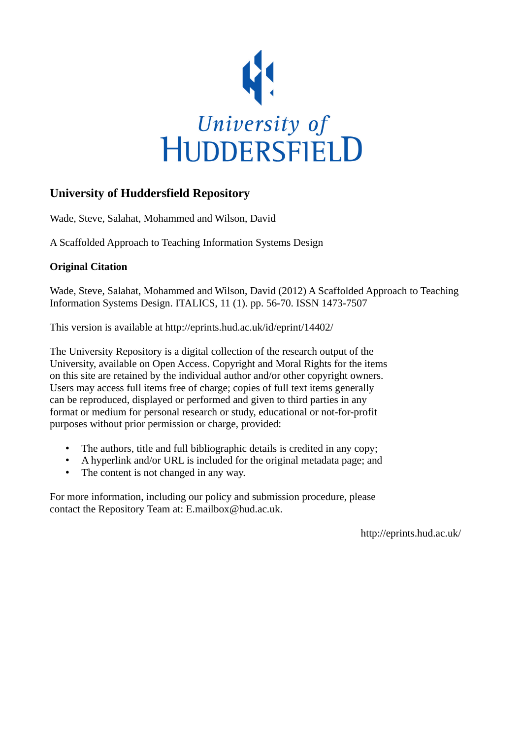

# **University of Huddersfield Repository**

Wade, Steve, Salahat, Mohammed and Wilson, David

A Scaffolded Approach to Teaching Information Systems Design

### **Original Citation**

Wade, Steve, Salahat, Mohammed and Wilson, David (2012) A Scaffolded Approach to Teaching Information Systems Design. ITALICS, 11 (1). pp. 56-70. ISSN 1473-7507

This version is available at http://eprints.hud.ac.uk/id/eprint/14402/

The University Repository is a digital collection of the research output of the University, available on Open Access. Copyright and Moral Rights for the items on this site are retained by the individual author and/or other copyright owners. Users may access full items free of charge; copies of full text items generally can be reproduced, displayed or performed and given to third parties in any format or medium for personal research or study, educational or not-for-profit purposes without prior permission or charge, provided:

- The authors, title and full bibliographic details is credited in any copy;
- A hyperlink and/or URL is included for the original metadata page; and
- The content is not changed in any way.

For more information, including our policy and submission procedure, please contact the Repository Team at: E.mailbox@hud.ac.uk.

http://eprints.hud.ac.uk/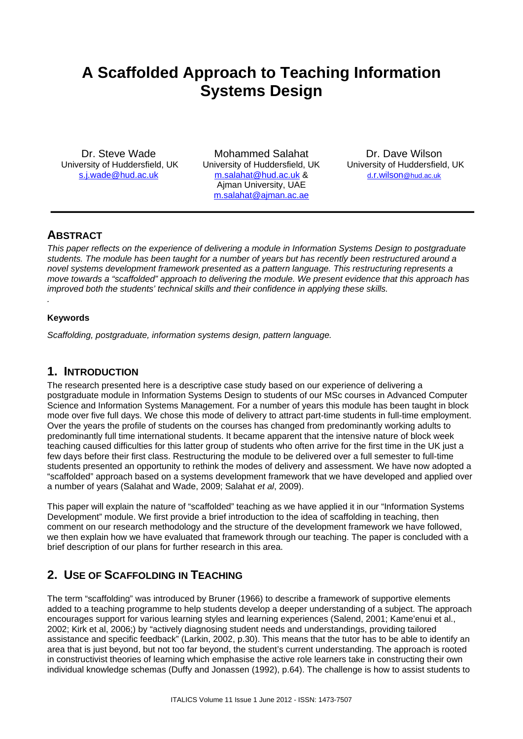# **A Scaffolded Approach to Teaching Information Systems Design**

Dr. Steve Wade University of Huddersfield, UK s.j.wade@hud.ac.uk

Mohammed Salahat University of Huddersfield, UK m.salahat@hud.ac.uk & Ajman University, UAE m.salahat@ajman.ac.ae

֬

Dr. Dave Wilson University of Huddersfield, UK d.r.wilson@hud.ac.uk

# **ABSTRACT**

*This paper reflects on the experience of delivering a module in Information Systems Design to postgraduate students. The module has been taught for a number of years but has recently been restructured around a novel systems development framework presented as a pattern language. This restructuring represents a move towards a "scaffolded" approach to delivering the module. We present evidence that this approach has improved both the students' technical skills and their confidence in applying these skills. .* 

### **Keywords**

*Scaffolding, postgraduate, information systems design, pattern language.* 

# **1. INTRODUCTION**

The research presented here is a descriptive case study based on our experience of delivering a postgraduate module in Information Systems Design to students of our MSc courses in Advanced Computer Science and Information Systems Management. For a number of years this module has been taught in block mode over five full days. We chose this mode of delivery to attract part-time students in full-time employment. Over the years the profile of students on the courses has changed from predominantly working adults to predominantly full time international students. It became apparent that the intensive nature of block week teaching caused difficulties for this latter group of students who often arrive for the first time in the UK just a few days before their first class. Restructuring the module to be delivered over a full semester to full-time students presented an opportunity to rethink the modes of delivery and assessment. We have now adopted a "scaffolded" approach based on a systems development framework that we have developed and applied over a number of years (Salahat and Wade, 2009; Salahat *et al*, 2009).

This paper will explain the nature of "scaffolded" teaching as we have applied it in our "Information Systems Development" module. We first provide a brief introduction to the idea of scaffolding in teaching, then comment on our research methodology and the structure of the development framework we have followed, we then explain how we have evaluated that framework through our teaching. The paper is concluded with a brief description of our plans for further research in this area.

# **2. USE OF SCAFFOLDING IN TEACHING**

The term "scaffolding" was introduced by Bruner (1966) to describe a framework of supportive elements added to a teaching programme to help students develop a deeper understanding of a subject. The approach encourages support for various learning styles and learning experiences (Salend, 2001; Kame'enui et al., 2002; Kirk et al, 2006;) by "actively diagnosing student needs and understandings, providing tailored assistance and specific feedback" (Larkin, 2002, p.30). This means that the tutor has to be able to identify an area that is just beyond, but not too far beyond, the student's current understanding. The approach is rooted in constructivist theories of learning which emphasise the active role learners take in constructing their own individual knowledge schemas (Duffy and Jonassen (1992), p.64). The challenge is how to assist students to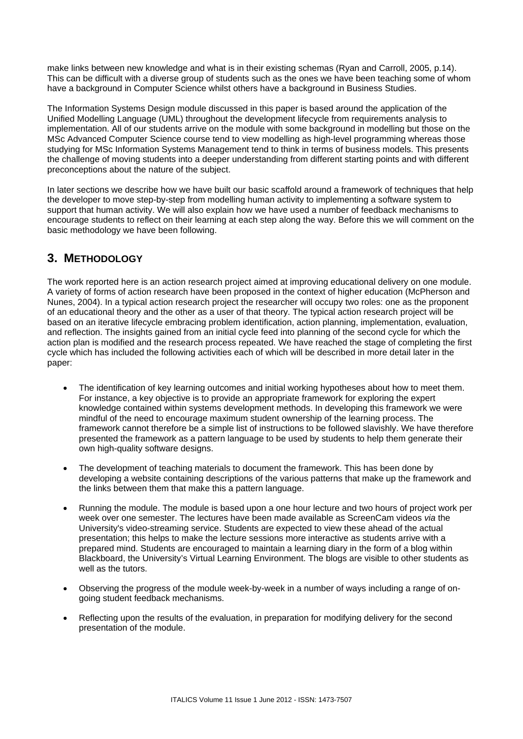make links between new knowledge and what is in their existing schemas (Ryan and Carroll, 2005, p.14). This can be difficult with a diverse group of students such as the ones we have been teaching some of whom have a background in Computer Science whilst others have a background in Business Studies.

The Information Systems Design module discussed in this paper is based around the application of the Unified Modelling Language (UML) throughout the development lifecycle from requirements analysis to implementation. All of our students arrive on the module with some background in modelling but those on the MSc Advanced Computer Science course tend to view modelling as high-level programming whereas those studying for MSc Information Systems Management tend to think in terms of business models. This presents the challenge of moving students into a deeper understanding from different starting points and with different preconceptions about the nature of the subject.

In later sections we describe how we have built our basic scaffold around a framework of techniques that help the developer to move step-by-step from modelling human activity to implementing a software system to support that human activity. We will also explain how we have used a number of feedback mechanisms to encourage students to reflect on their learning at each step along the way. Before this we will comment on the basic methodology we have been following.

# **3. METHODOLOGY**

The work reported here is an action research project aimed at improving educational delivery on one module. A variety of forms of action research have been proposed in the context of higher education (McPherson and Nunes, 2004). In a typical action research project the researcher will occupy two roles: one as the proponent of an educational theory and the other as a user of that theory. The typical action research project will be based on an iterative lifecycle embracing problem identification, action planning, implementation, evaluation, and reflection. The insights gained from an initial cycle feed into planning of the second cycle for which the action plan is modified and the research process repeated. We have reached the stage of completing the first cycle which has included the following activities each of which will be described in more detail later in the paper:

- The identification of key learning outcomes and initial working hypotheses about how to meet them. For instance, a key objective is to provide an appropriate framework for exploring the expert knowledge contained within systems development methods. In developing this framework we were mindful of the need to encourage maximum student ownership of the learning process. The framework cannot therefore be a simple list of instructions to be followed slavishly. We have therefore presented the framework as a pattern language to be used by students to help them generate their own high-quality software designs.
- The development of teaching materials to document the framework. This has been done by developing a website containing descriptions of the various patterns that make up the framework and the links between them that make this a pattern language.
- Running the module. The module is based upon a one hour lecture and two hours of project work per week over one semester. The lectures have been made available as ScreenCam videos *via* the University's video-streaming service. Students are expected to view these ahead of the actual presentation; this helps to make the lecture sessions more interactive as students arrive with a prepared mind. Students are encouraged to maintain a learning diary in the form of a blog within Blackboard, the University's Virtual Learning Environment. The blogs are visible to other students as well as the tutors.
- Observing the progress of the module week-by-week in a number of ways including a range of ongoing student feedback mechanisms.
- Reflecting upon the results of the evaluation, in preparation for modifying delivery for the second presentation of the module.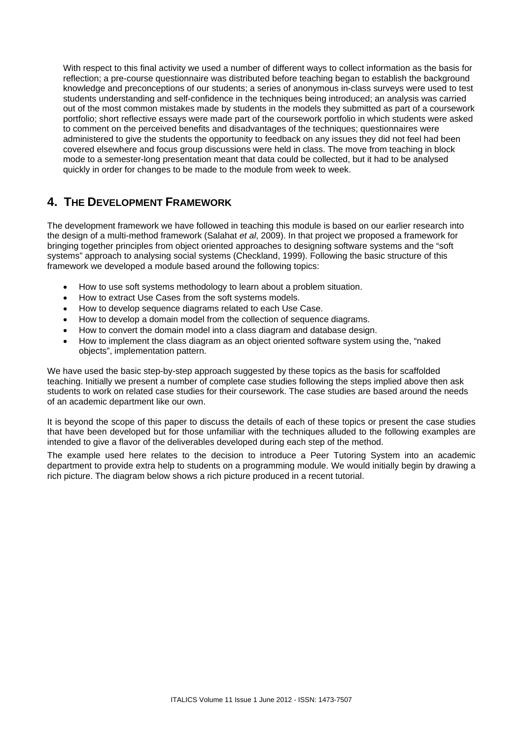With respect to this final activity we used a number of different ways to collect information as the basis for reflection; a pre-course questionnaire was distributed before teaching began to establish the background knowledge and preconceptions of our students; a series of anonymous in-class surveys were used to test students understanding and self-confidence in the techniques being introduced; an analysis was carried out of the most common mistakes made by students in the models they submitted as part of a coursework portfolio; short reflective essays were made part of the coursework portfolio in which students were asked to comment on the perceived benefits and disadvantages of the techniques; questionnaires were administered to give the students the opportunity to feedback on any issues they did not feel had been covered elsewhere and focus group discussions were held in class. The move from teaching in block mode to a semester-long presentation meant that data could be collected, but it had to be analysed quickly in order for changes to be made to the module from week to week.

# **4. THE DEVELOPMENT FRAMEWORK**

The development framework we have followed in teaching this module is based on our earlier research into the design of a multi-method framework (Salahat *et al*, 2009). In that project we proposed a framework for bringing together principles from object oriented approaches to designing software systems and the "soft systems" approach to analysing social systems (Checkland, 1999). Following the basic structure of this framework we developed a module based around the following topics:

- How to use soft systems methodology to learn about a problem situation.
- How to extract Use Cases from the soft systems models.
- How to develop sequence diagrams related to each Use Case.
- How to develop a domain model from the collection of sequence diagrams.
- How to convert the domain model into a class diagram and database design.
- How to implement the class diagram as an object oriented software system using the, "naked objects", implementation pattern.

We have used the basic step-by-step approach suggested by these topics as the basis for scaffolded teaching. Initially we present a number of complete case studies following the steps implied above then ask students to work on related case studies for their coursework. The case studies are based around the needs of an academic department like our own.

It is beyond the scope of this paper to discuss the details of each of these topics or present the case studies that have been developed but for those unfamiliar with the techniques alluded to the following examples are intended to give a flavor of the deliverables developed during each step of the method.

The example used here relates to the decision to introduce a Peer Tutoring System into an academic department to provide extra help to students on a programming module. We would initially begin by drawing a rich picture. The diagram below shows a rich picture produced in a recent tutorial.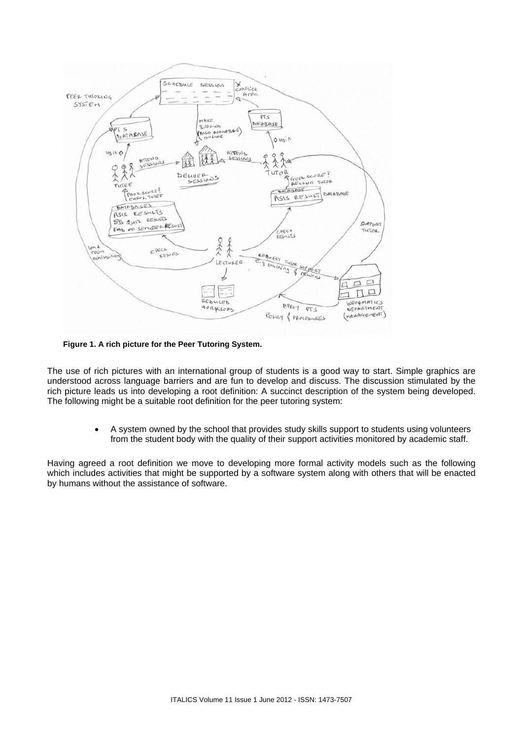

**Figure 1. A rich picture for the Peer Tutoring System.** 

The use of rich pictures with an international group of students is a good way to start. Simple graphics are understood across language barriers and are fun to develop and discuss. The discussion stimulated by the rich picture leads us into developing a root definition: A succinct description of the system being developed. The following might be a suitable root definition for the peer tutoring system:

> A system owned by the school that provides study skills support to students using volunteers from the student body with the quality of their support activities monitored by academic staff.

Having agreed a root definition we move to developing more formal activity models such as the following which includes activities that might be supported by a software system along with others that will be enacted by humans without the assistance of software.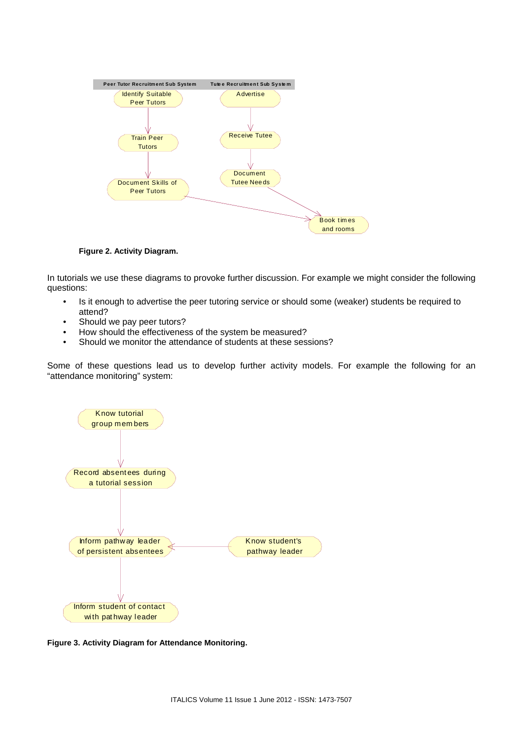

**Figure 2. Activity Diagram.** 

In tutorials we use these diagrams to provoke further discussion. For example we might consider the following questions:

- Is it enough to advertise the peer tutoring service or should some (weaker) students be required to attend?
- Should we pay peer tutors?
- How should the effectiveness of the system be measured?
- Should we monitor the attendance of students at these sessions?

Some of these questions lead us to develop further activity models. For example the following for an "attendance monitoring" system:



**Figure 3. Activity Diagram for Attendance Monitoring.**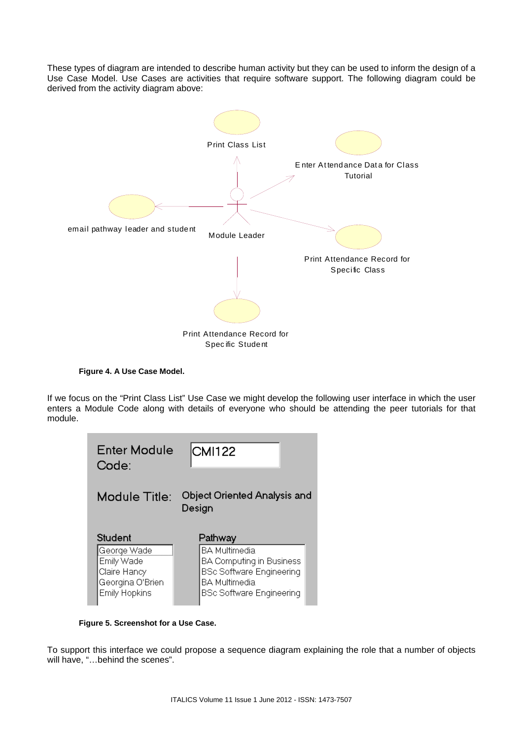These types of diagram are intended to describe human activity but they can be used to inform the design of a Use Case Model. Use Cases are activities that require software support. The following diagram could be derived from the activity diagram above:



**Figure 4. A Use Case Model.** 

If we focus on the "Print Class List" Use Case we might develop the following user interface in which the user enters a Module Code along with details of everyone who should be attending the peer tutorials for that module.



**Figure 5. Screenshot for a Use Case.** 

To support this interface we could propose a sequence diagram explaining the role that a number of objects will have, "...behind the scenes".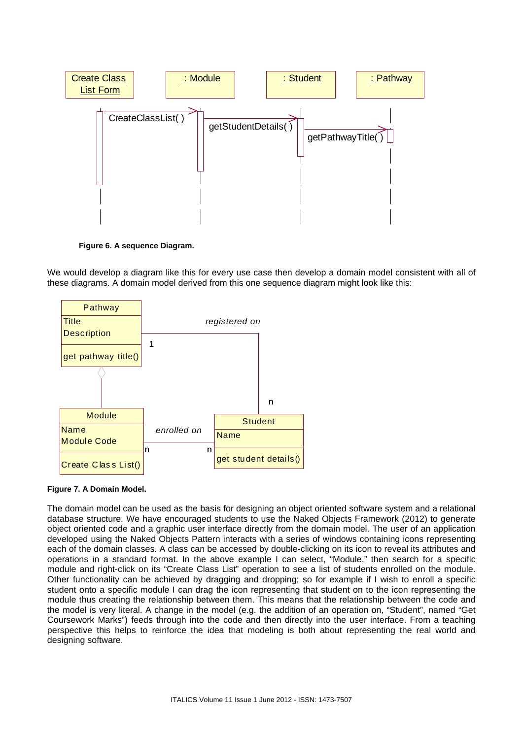

**Figure 6. A sequence Diagram.** 

We would develop a diagram like this for every use case then develop a domain model consistent with all of these diagrams. A domain model derived from this one sequence diagram might look like this:





The domain model can be used as the basis for designing an object oriented software system and a relational database structure. We have encouraged students to use the Naked Objects Framework (2012) to generate object oriented code and a graphic user interface directly from the domain model. The user of an application developed using the Naked Objects Pattern interacts with a series of windows containing icons representing each of the domain classes. A class can be accessed by double-clicking on its icon to reveal its attributes and operations in a standard format. In the above example I can select, "Module," then search for a specific module and right-click on its "Create Class List" operation to see a list of students enrolled on the module. Other functionality can be achieved by dragging and dropping; so for example if I wish to enroll a specific student onto a specific module I can drag the icon representing that student on to the icon representing the module thus creating the relationship between them. This means that the relationship between the code and the model is very literal. A change in the model (e.g. the addition of an operation on, "Student", named "Get Coursework Marks") feeds through into the code and then directly into the user interface. From a teaching perspective this helps to reinforce the idea that modeling is both about representing the real world and designing software.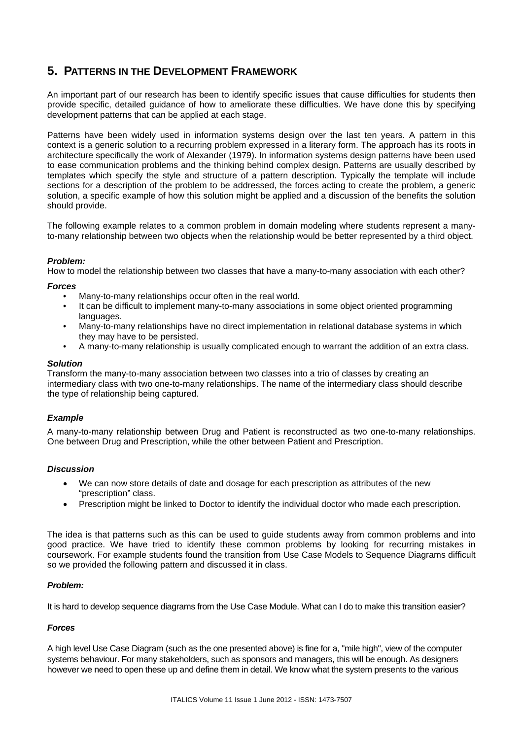# **5. PATTERNS IN THE DEVELOPMENT FRAMEWORK**

An important part of our research has been to identify specific issues that cause difficulties for students then provide specific, detailed guidance of how to ameliorate these difficulties. We have done this by specifying development patterns that can be applied at each stage.

Patterns have been widely used in information systems design over the last ten years. A pattern in this context is a generic solution to a recurring problem expressed in a literary form. The approach has its roots in architecture specifically the work of Alexander (1979). In information systems design patterns have been used to ease communication problems and the thinking behind complex design. Patterns are usually described by templates which specify the style and structure of a pattern description. Typically the template will include sections for a description of the problem to be addressed, the forces acting to create the problem, a generic solution, a specific example of how this solution might be applied and a discussion of the benefits the solution should provide.

The following example relates to a common problem in domain modeling where students represent a manyto-many relationship between two objects when the relationship would be better represented by a third object.

#### *Problem:*

How to model the relationship between two classes that have a many-to-many association with each other?

#### *Forces*

- Many-to-many relationships occur often in the real world.
- It can be difficult to implement many-to-many associations in some object oriented programming languages.
- Many-to-many relationships have no direct implementation in relational database systems in which they may have to be persisted.
- A many-to-many relationship is usually complicated enough to warrant the addition of an extra class.

#### *Solution*

Transform the many-to-many association between two classes into a trio of classes by creating an intermediary class with two one-to-many relationships. The name of the intermediary class should describe the type of relationship being captured.

#### *Example*

A many-to-many relationship between Drug and Patient is reconstructed as two one-to-many relationships. One between Drug and Prescription, while the other between Patient and Prescription.

#### *Discussion*

- We can now store details of date and dosage for each prescription as attributes of the new "prescription" class.
- Prescription might be linked to Doctor to identify the individual doctor who made each prescription.

The idea is that patterns such as this can be used to guide students away from common problems and into good practice. We have tried to identify these common problems by looking for recurring mistakes in coursework. For example students found the transition from Use Case Models to Sequence Diagrams difficult so we provided the following pattern and discussed it in class.

#### *Problem:*

It is hard to develop sequence diagrams from the Use Case Module. What can I do to make this transition easier?

#### *Forces*

A high level Use Case Diagram (such as the one presented above) is fine for a, "mile high", view of the computer systems behaviour. For many stakeholders, such as sponsors and managers, this will be enough. As designers however we need to open these up and define them in detail. We know what the system presents to the various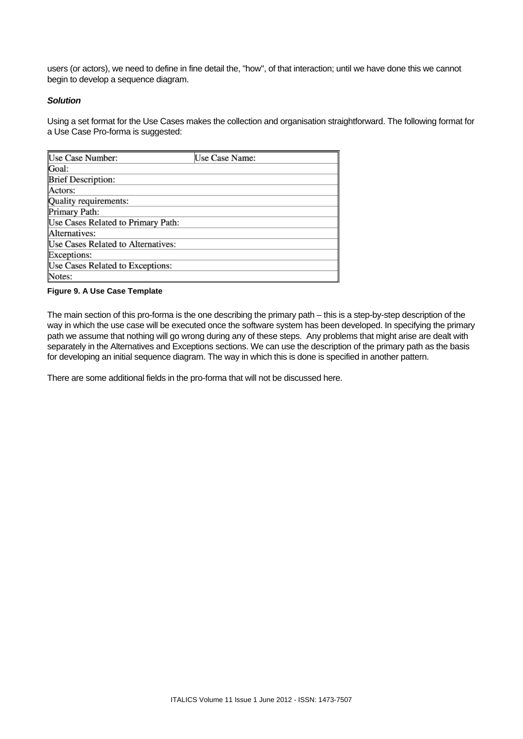users (or actors), we need to define in fine detail the, "how", of that interaction; until we have done this we cannot begin to develop a sequence diagram.

#### *Solution*

Using a set format for the Use Cases makes the collection and organisation straightforward. The following format for a Use Case Pro-forma is suggested:

| Use Case Number:                   | Use Case Name: |
|------------------------------------|----------------|
| Goal:                              |                |
| <b>Brief Description:</b>          |                |
| Actors:                            |                |
| Quality requirements:              |                |
| Primary Path:                      |                |
| Use Cases Related to Primary Path: |                |
| Alternatives:                      |                |
| Use Cases Related to Alternatives: |                |
| Exceptions:                        |                |
| Use Cases Related to Exceptions:   |                |
| Notes:                             |                |

#### **Figure 9. A Use Case Template**

The main section of this pro-forma is the one describing the primary path – this is a step-by-step description of the way in which the use case will be executed once the software system has been developed. In specifying the primary path we assume that nothing will go wrong during any of these steps. Any problems that might arise are dealt with separately in the Alternatives and Exceptions sections. We can use the description of the primary path as the basis for developing an initial sequence diagram. The way in which this is done is specified in another pattern.

There are some additional fields in the pro-forma that will not be discussed here.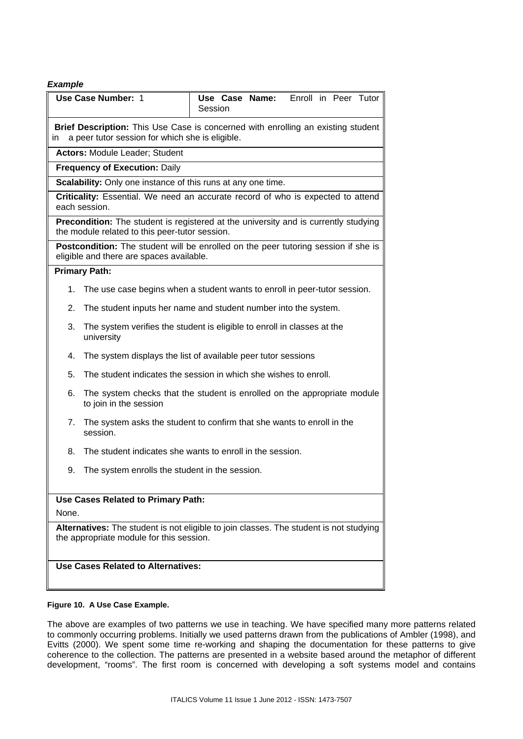#### *Example*

| Use Case Number: 1<br>Enroll in Peer Tutor<br>Use Case Name:<br>Session                                                                          |  |
|--------------------------------------------------------------------------------------------------------------------------------------------------|--|
| <b>Brief Description:</b> This Use Case is concerned with enrolling an existing student<br>a peer tutor session for which she is eligible.<br>in |  |
| Actors: Module Leader; Student                                                                                                                   |  |
| <b>Frequency of Execution: Daily</b>                                                                                                             |  |
| <b>Scalability:</b> Only one instance of this runs at any one time.                                                                              |  |
| Criticality: Essential. We need an accurate record of who is expected to attend<br>each session.                                                 |  |
| Precondition: The student is registered at the university and is currently studying<br>the module related to this peer-tutor session.            |  |
| Postcondition: The student will be enrolled on the peer tutoring session if she is<br>eligible and there are spaces available.                   |  |
| <b>Primary Path:</b>                                                                                                                             |  |
| The use case begins when a student wants to enroll in peer-tutor session.<br>1.                                                                  |  |
| 2.<br>The student inputs her name and student number into the system.                                                                            |  |
| 3.<br>The system verifies the student is eligible to enroll in classes at the<br>university                                                      |  |
| 4.<br>The system displays the list of available peer tutor sessions                                                                              |  |
| The student indicates the session in which she wishes to enroll.<br>5.                                                                           |  |
| 6.<br>The system checks that the student is enrolled on the appropriate module<br>to join in the session                                         |  |
| 7.<br>The system asks the student to confirm that she wants to enroll in the<br>session.                                                         |  |
| 8.<br>The student indicates she wants to enroll in the session.                                                                                  |  |
| 9.<br>The system enrolls the student in the session.                                                                                             |  |
| Use Cases Related to Primary Path:                                                                                                               |  |
| None.                                                                                                                                            |  |
| Alternatives: The student is not eligible to join classes. The student is not studying<br>the appropriate module for this session.               |  |
| Use Cases Related to Alternatives:                                                                                                               |  |

#### **Figure 10. A Use Case Example.**

The above are examples of two patterns we use in teaching. We have specified many more patterns related to commonly occurring problems. Initially we used patterns drawn from the publications of Ambler (1998), and Evitts (2000). We spent some time re-working and shaping the documentation for these patterns to give coherence to the collection. The patterns are presented in a website based around the metaphor of different development, "rooms". The first room is concerned with developing a soft systems model and contains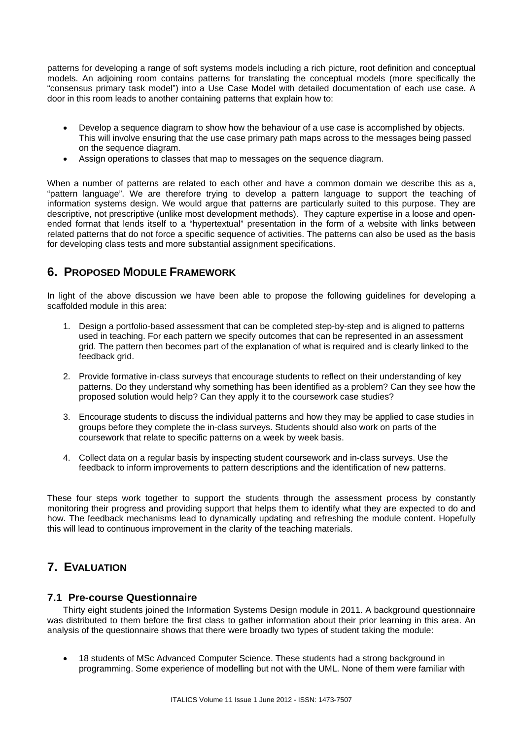patterns for developing a range of soft systems models including a rich picture, root definition and conceptual models. An adjoining room contains patterns for translating the conceptual models (more specifically the "consensus primary task model") into a Use Case Model with detailed documentation of each use case. A door in this room leads to another containing patterns that explain how to:

- Develop a sequence diagram to show how the behaviour of a use case is accomplished by objects. This will involve ensuring that the use case primary path maps across to the messages being passed on the sequence diagram.
- Assign operations to classes that map to messages on the sequence diagram.

When a number of patterns are related to each other and have a common domain we describe this as a, "pattern language". We are therefore trying to develop a pattern language to support the teaching of information systems design. We would argue that patterns are particularly suited to this purpose. They are descriptive, not prescriptive (unlike most development methods). They capture expertise in a loose and openended format that lends itself to a "hypertextual" presentation in the form of a website with links between related patterns that do not force a specific sequence of activities. The patterns can also be used as the basis for developing class tests and more substantial assignment specifications.

# **6. PROPOSED MODULE FRAMEWORK**

In light of the above discussion we have been able to propose the following guidelines for developing a scaffolded module in this area:

- 1. Design a portfolio-based assessment that can be completed step-by-step and is aligned to patterns used in teaching. For each pattern we specify outcomes that can be represented in an assessment grid. The pattern then becomes part of the explanation of what is required and is clearly linked to the feedback grid.
- 2. Provide formative in-class surveys that encourage students to reflect on their understanding of key patterns. Do they understand why something has been identified as a problem? Can they see how the proposed solution would help? Can they apply it to the coursework case studies?
- 3. Encourage students to discuss the individual patterns and how they may be applied to case studies in groups before they complete the in-class surveys. Students should also work on parts of the coursework that relate to specific patterns on a week by week basis.
- 4. Collect data on a regular basis by inspecting student coursework and in-class surveys. Use the feedback to inform improvements to pattern descriptions and the identification of new patterns.

These four steps work together to support the students through the assessment process by constantly monitoring their progress and providing support that helps them to identify what they are expected to do and how. The feedback mechanisms lead to dynamically updating and refreshing the module content. Hopefully this will lead to continuous improvement in the clarity of the teaching materials.

# **7. EVALUATION**

### **7.1 Pre-course Questionnaire**

Thirty eight students joined the Information Systems Design module in 2011. A background questionnaire was distributed to them before the first class to gather information about their prior learning in this area. An analysis of the questionnaire shows that there were broadly two types of student taking the module:

 18 students of MSc Advanced Computer Science. These students had a strong background in programming. Some experience of modelling but not with the UML. None of them were familiar with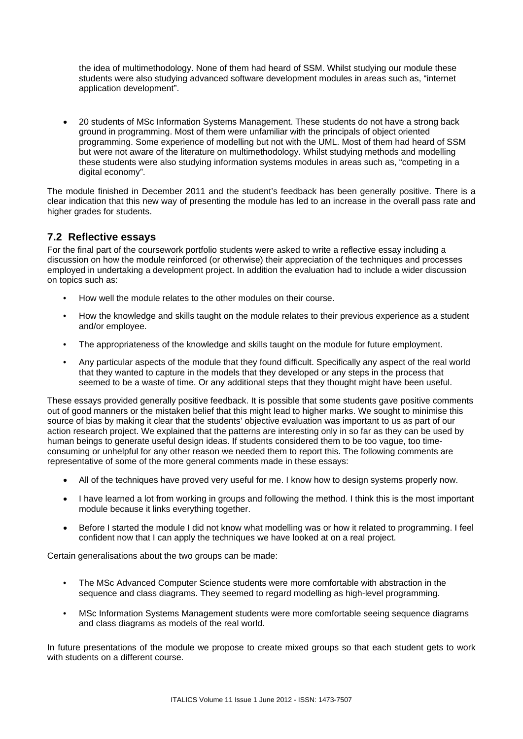the idea of multimethodology. None of them had heard of SSM. Whilst studying our module these students were also studying advanced software development modules in areas such as, "internet application development".

 20 students of MSc Information Systems Management. These students do not have a strong back ground in programming. Most of them were unfamiliar with the principals of object oriented programming. Some experience of modelling but not with the UML. Most of them had heard of SSM but were not aware of the literature on multimethodology. Whilst studying methods and modelling these students were also studying information systems modules in areas such as, "competing in a digital economy".

The module finished in December 2011 and the student's feedback has been generally positive. There is a clear indication that this new way of presenting the module has led to an increase in the overall pass rate and higher grades for students.

### **7.2 Reflective essays**

For the final part of the coursework portfolio students were asked to write a reflective essay including a discussion on how the module reinforced (or otherwise) their appreciation of the techniques and processes employed in undertaking a development project. In addition the evaluation had to include a wider discussion on topics such as:

- How well the module relates to the other modules on their course.
- How the knowledge and skills taught on the module relates to their previous experience as a student and/or employee.
- The appropriateness of the knowledge and skills taught on the module for future employment.
- Any particular aspects of the module that they found difficult. Specifically any aspect of the real world that they wanted to capture in the models that they developed or any steps in the process that seemed to be a waste of time. Or any additional steps that they thought might have been useful.

These essays provided generally positive feedback. It is possible that some students gave positive comments out of good manners or the mistaken belief that this might lead to higher marks. We sought to minimise this source of bias by making it clear that the students' objective evaluation was important to us as part of our action research project. We explained that the patterns are interesting only in so far as they can be used by human beings to generate useful design ideas. If students considered them to be too vague, too timeconsuming or unhelpful for any other reason we needed them to report this. The following comments are representative of some of the more general comments made in these essays:

- All of the techniques have proved very useful for me. I know how to design systems properly now.
- I have learned a lot from working in groups and following the method. I think this is the most important module because it links everything together.
- Before I started the module I did not know what modelling was or how it related to programming. I feel confident now that I can apply the techniques we have looked at on a real project.

Certain generalisations about the two groups can be made:

- The MSc Advanced Computer Science students were more comfortable with abstraction in the sequence and class diagrams. They seemed to regard modelling as high-level programming.
- MSc Information Systems Management students were more comfortable seeing sequence diagrams and class diagrams as models of the real world.

In future presentations of the module we propose to create mixed groups so that each student gets to work with students on a different course.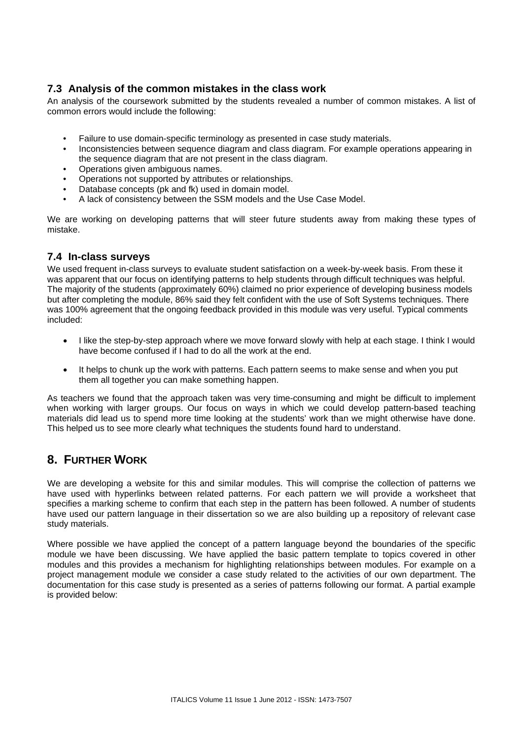### **7.3 Analysis of the common mistakes in the class work**

An analysis of the coursework submitted by the students revealed a number of common mistakes. A list of common errors would include the following:

- Failure to use domain-specific terminology as presented in case study materials.
- Inconsistencies between sequence diagram and class diagram. For example operations appearing in the sequence diagram that are not present in the class diagram.
- Operations given ambiguous names.
- Operations not supported by attributes or relationships.
- Database concepts (pk and fk) used in domain model.
- A lack of consistency between the SSM models and the Use Case Model.

We are working on developing patterns that will steer future students away from making these types of mistake.

#### **7.4 In-class surveys**

We used frequent in-class surveys to evaluate student satisfaction on a week-by-week basis. From these it was apparent that our focus on identifying patterns to help students through difficult techniques was helpful. The majority of the students (approximately 60%) claimed no prior experience of developing business models but after completing the module, 86% said they felt confident with the use of Soft Systems techniques. There was 100% agreement that the ongoing feedback provided in this module was very useful. Typical comments included:

- I like the step-by-step approach where we move forward slowly with help at each stage. I think I would have become confused if I had to do all the work at the end.
- It helps to chunk up the work with patterns. Each pattern seems to make sense and when you put them all together you can make something happen.

As teachers we found that the approach taken was very time-consuming and might be difficult to implement when working with larger groups. Our focus on ways in which we could develop pattern-based teaching materials did lead us to spend more time looking at the students' work than we might otherwise have done. This helped us to see more clearly what techniques the students found hard to understand.

# **8. FURTHER WORK**

We are developing a website for this and similar modules. This will comprise the collection of patterns we have used with hyperlinks between related patterns. For each pattern we will provide a worksheet that specifies a marking scheme to confirm that each step in the pattern has been followed. A number of students have used our pattern language in their dissertation so we are also building up a repository of relevant case study materials.

Where possible we have applied the concept of a pattern language beyond the boundaries of the specific module we have been discussing. We have applied the basic pattern template to topics covered in other modules and this provides a mechanism for highlighting relationships between modules. For example on a project management module we consider a case study related to the activities of our own department. The documentation for this case study is presented as a series of patterns following our format. A partial example is provided below: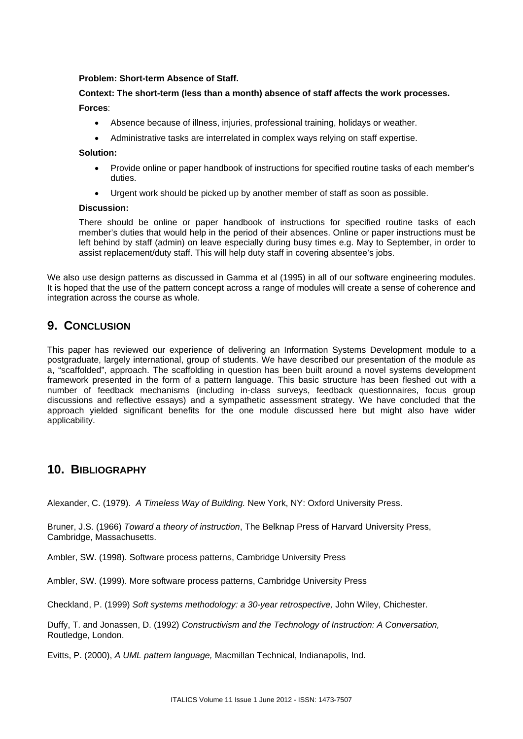#### **Problem: Short-term Absence of Staff.**

### **Context: The short-term (less than a month) absence of staff affects the work processes. Forces**:

- Absence because of illness, injuries, professional training, holidays or weather.
- Administrative tasks are interrelated in complex ways relying on staff expertise.

#### **Solution:**

- Provide online or paper handbook of instructions for specified routine tasks of each member's duties.
- Urgent work should be picked up by another member of staff as soon as possible.

#### **Discussion:**

There should be online or paper handbook of instructions for specified routine tasks of each member's duties that would help in the period of their absences. Online or paper instructions must be left behind by staff (admin) on leave especially during busy times e.g. May to September, in order to assist replacement/duty staff. This will help duty staff in covering absentee's jobs.

We also use design patterns as discussed in Gamma et al (1995) in all of our software engineering modules. It is hoped that the use of the pattern concept across a range of modules will create a sense of coherence and integration across the course as whole.

### **9. CONCLUSION**

This paper has reviewed our experience of delivering an Information Systems Development module to a postgraduate, largely international, group of students. We have described our presentation of the module as a, "scaffolded", approach. The scaffolding in question has been built around a novel systems development framework presented in the form of a pattern language. This basic structure has been fleshed out with a number of feedback mechanisms (including in-class surveys, feedback questionnaires, focus group discussions and reflective essays) and a sympathetic assessment strategy. We have concluded that the approach yielded significant benefits for the one module discussed here but might also have wider applicability.

### **10. BIBLIOGRAPHY**

Alexander, C. (1979). *A Timeless Way of Building.* New York, NY: Oxford University Press.

Bruner, J.S. (1966) *Toward a theory of instruction*, The Belknap Press of Harvard University Press, Cambridge, Massachusetts.

Ambler, SW. (1998). Software process patterns, Cambridge University Press

Ambler, SW. (1999). More software process patterns, Cambridge University Press

Checkland, P. (1999) *Soft systems methodology: a 30-year retrospective,* John Wiley, Chichester.

Duffy, T. and Jonassen, D. (1992) *Constructivism and the Technology of Instruction: A Conversation,*  Routledge, London.

Evitts, P. (2000), *A UML pattern language,* Macmillan Technical, Indianapolis, Ind.